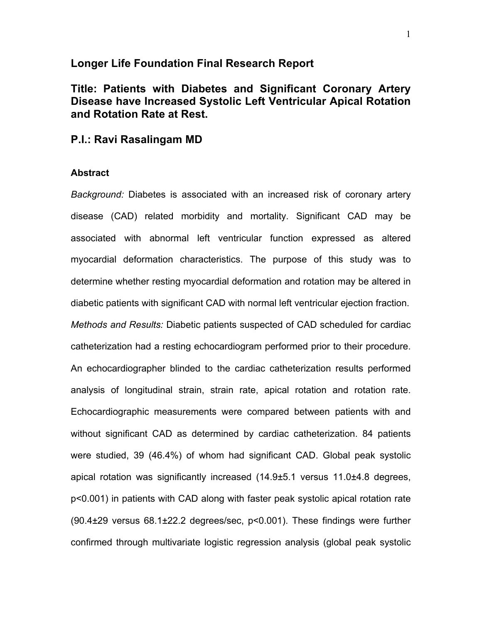# **Longer Life Foundation Final Research Report**

**Title: Patients with Diabetes and Significant Coronary Artery Disease have Increased Systolic Left Ventricular Apical Rotation and Rotation Rate at Rest.**

# **P.I.: Ravi Rasalingam MD**

#### **Abstract**

*Background:* Diabetes is associated with an increased risk of coronary artery disease (CAD) related morbidity and mortality. Significant CAD may be associated with abnormal left ventricular function expressed as altered myocardial deformation characteristics. The purpose of this study was to determine whether resting myocardial deformation and rotation may be altered in diabetic patients with significant CAD with normal left ventricular ejection fraction. *Methods and Results:* Diabetic patients suspected of CAD scheduled for cardiac catheterization had a resting echocardiogram performed prior to their procedure. An echocardiographer blinded to the cardiac catheterization results performed analysis of longitudinal strain, strain rate, apical rotation and rotation rate. Echocardiographic measurements were compared between patients with and without significant CAD as determined by cardiac catheterization. 84 patients were studied, 39 (46.4%) of whom had significant CAD. Global peak systolic apical rotation was significantly increased (14.9±5.1 versus 11.0±4.8 degrees, p<0.001) in patients with CAD along with faster peak systolic apical rotation rate (90.4±29 versus 68.1±22.2 degrees/sec, p<0.001). These findings were further confirmed through multivariate logistic regression analysis (global peak systolic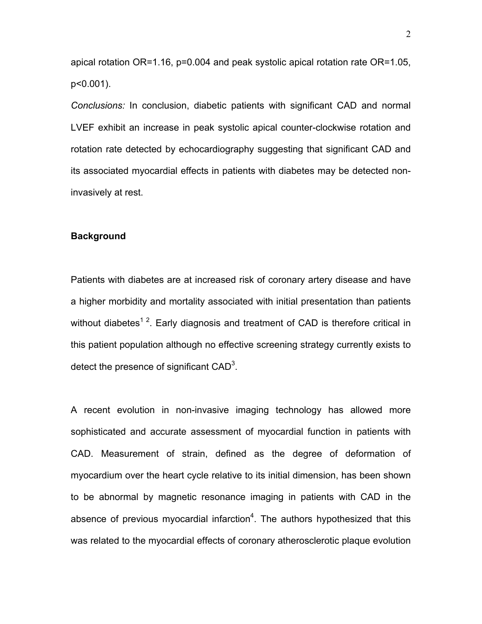apical rotation OR=1.16, p=0.004 and peak systolic apical rotation rate OR=1.05, p<0.001).

*Conclusions:* In conclusion, diabetic patients with significant CAD and normal LVEF exhibit an increase in peak systolic apical counter-clockwise rotation and rotation rate detected by echocardiography suggesting that significant CAD and its associated myocardial effects in patients with diabetes may be detected noninvasively at rest.

#### **Background**

Patients with diabetes are at increased risk of coronary artery disease and have a higher morbidity and mortality associated with initial presentation than patients without diabetes<sup>12</sup>. Early diagnosis and treatment of CAD is therefore critical in this patient population although no effective screening strategy currently exists to detect the presence of significant  $CAD^3$ .

A recent evolution in non-invasive imaging technology has allowed more sophisticated and accurate assessment of myocardial function in patients with CAD. Measurement of strain, defined as the degree of deformation of myocardium over the heart cycle relative to its initial dimension, has been shown to be abnormal by magnetic resonance imaging in patients with CAD in the absence of previous myocardial infarction<sup>4</sup>. The authors hypothesized that this was related to the myocardial effects of coronary atherosclerotic plaque evolution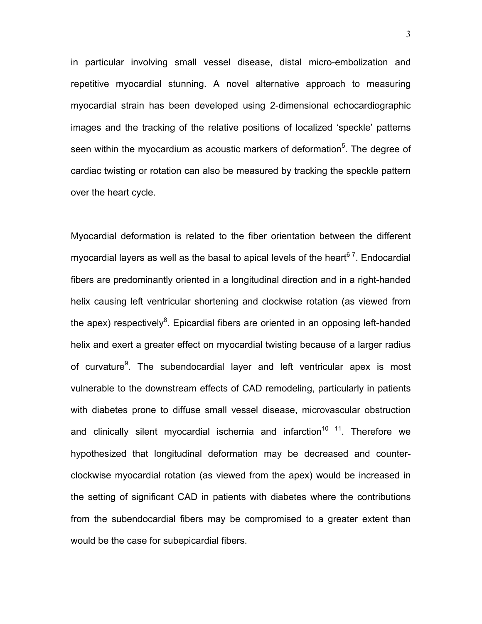in particular involving small vessel disease, distal micro-embolization and repetitive myocardial stunning. A novel alternative approach to measuring myocardial strain has been developed using 2-dimensional echocardiographic images and the tracking of the relative positions of localized 'speckle' patterns seen within the myocardium as acoustic markers of deformation<sup>5</sup>. The degree of cardiac twisting or rotation can also be measured by tracking the speckle pattern over the heart cycle.

Myocardial deformation is related to the fiber orientation between the different myocardial layers as well as the basal to apical levels of the heart<sup>67</sup>. Endocardial fibers are predominantly oriented in a longitudinal direction and in a right-handed helix causing left ventricular shortening and clockwise rotation (as viewed from the apex) respectively<sup>8</sup>. Epicardial fibers are oriented in an opposing left-handed helix and exert a greater effect on myocardial twisting because of a larger radius of curvature<sup>9</sup>. The subendocardial layer and left ventricular apex is most vulnerable to the downstream effects of CAD remodeling, particularly in patients with diabetes prone to diffuse small vessel disease, microvascular obstruction and clinically silent myocardial ischemia and infarction<sup>10 11</sup>. Therefore we hypothesized that longitudinal deformation may be decreased and counterclockwise myocardial rotation (as viewed from the apex) would be increased in the setting of significant CAD in patients with diabetes where the contributions from the subendocardial fibers may be compromised to a greater extent than would be the case for subepicardial fibers.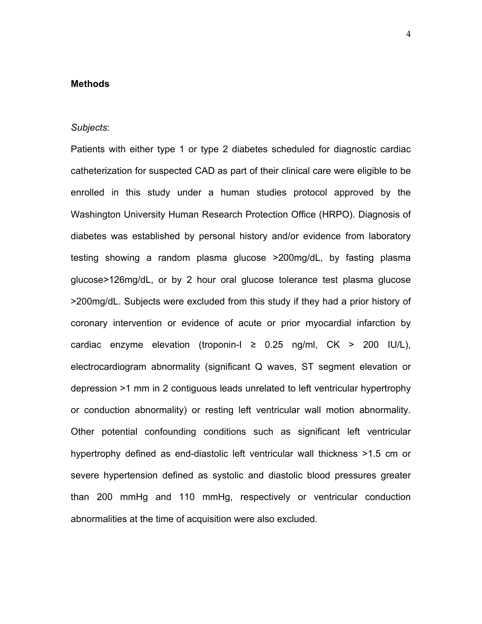# **Methods**

#### *Subjects*:

Patients with either type 1 or type 2 diabetes scheduled for diagnostic cardiac catheterization for suspected CAD as part of their clinical care were eligible to be enrolled in this study under a human studies protocol approved by the Washington University Human Research Protection Office (HRPO). Diagnosis of diabetes was established by personal history and/or evidence from laboratory testing showing a random plasma glucose >200mg/dL, by fasting plasma glucose>126mg/dL, or by 2 hour oral glucose tolerance test plasma glucose >200mg/dL. Subjects were excluded from this study if they had a prior history of coronary intervention or evidence of acute or prior myocardial infarction by cardiac enzyme elevation (troponin- $l \geq 0.25$  ng/ml, CK > 200 IU/L), electrocardiogram abnormality (significant Q waves, ST segment elevation or depression >1 mm in 2 contiguous leads unrelated to left ventricular hypertrophy or conduction abnormality) or resting left ventricular wall motion abnormality. Other potential confounding conditions such as significant left ventricular hypertrophy defined as end-diastolic left ventricular wall thickness >1.5 cm or severe hypertension defined as systolic and diastolic blood pressures greater than 200 mmHg and 110 mmHg, respectively or ventricular conduction abnormalities at the time of acquisition were also excluded.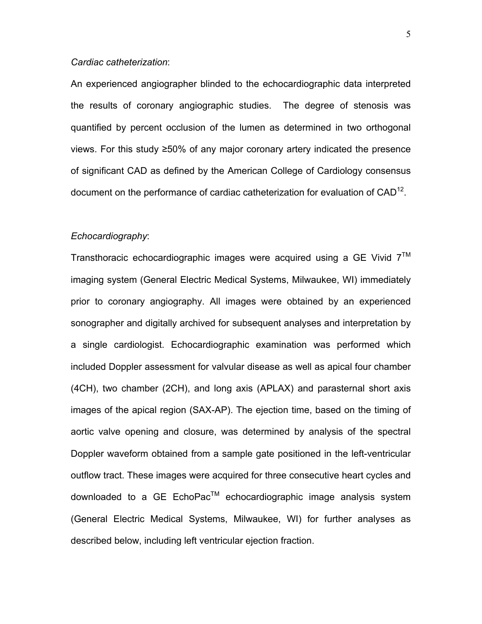### *Cardiac catheterization*:

An experienced angiographer blinded to the echocardiographic data interpreted the results of coronary angiographic studies. The degree of stenosis was quantified by percent occlusion of the lumen as determined in two orthogonal views. For this study ≥50% of any major coronary artery indicated the presence of significant CAD as defined by the American College of Cardiology consensus document on the performance of cardiac catheterization for evaluation of CAD<sup>12</sup>.

### *Echocardiography*:

Transthoracic echocardiographic images were acquired using a GE Vivid  $7<sup>TM</sup>$ imaging system (General Electric Medical Systems, Milwaukee, WI) immediately prior to coronary angiography. All images were obtained by an experienced sonographer and digitally archived for subsequent analyses and interpretation by a single cardiologist. Echocardiographic examination was performed which included Doppler assessment for valvular disease as well as apical four chamber (4CH), two chamber (2CH), and long axis (APLAX) and parasternal short axis images of the apical region (SAX-AP). The ejection time, based on the timing of aortic valve opening and closure, was determined by analysis of the spectral Doppler waveform obtained from a sample gate positioned in the left-ventricular outflow tract. These images were acquired for three consecutive heart cycles and downloaded to a GE EchoPac<sup>™</sup> echocardiographic image analysis system (General Electric Medical Systems, Milwaukee, WI) for further analyses as described below, including left ventricular ejection fraction.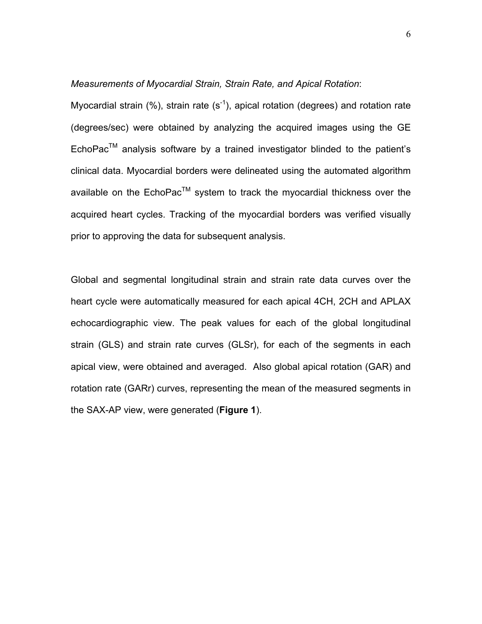### *Measurements of Myocardial Strain, Strain Rate, and Apical Rotation*:

Myocardial strain (%), strain rate (s<sup>-1</sup>), apical rotation (degrees) and rotation rate (degrees/sec) were obtained by analyzing the acquired images using the GE  $EchoPac<sup>TM</sup>$  analysis software by a trained investigator blinded to the patient's clinical data. Myocardial borders were delineated using the automated algorithm available on the  $EchoPac<sup>TM</sup>$  system to track the myocardial thickness over the acquired heart cycles. Tracking of the myocardial borders was verified visually prior to approving the data for subsequent analysis.

Global and segmental longitudinal strain and strain rate data curves over the heart cycle were automatically measured for each apical 4CH, 2CH and APLAX echocardiographic view. The peak values for each of the global longitudinal strain (GLS) and strain rate curves (GLSr), for each of the segments in each apical view, were obtained and averaged. Also global apical rotation (GAR) and rotation rate (GARr) curves, representing the mean of the measured segments in the SAX-AP view, were generated (**Figure 1**).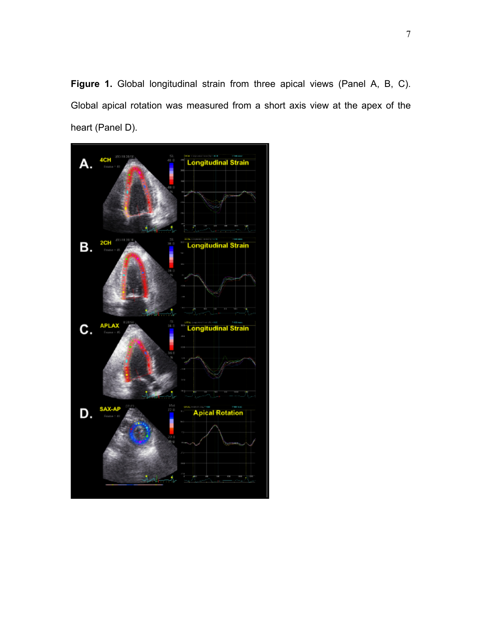**Figure 1.** Global longitudinal strain from three apical views (Panel A, B, C). Global apical rotation was measured from a short axis view at the apex of the heart (Panel D).

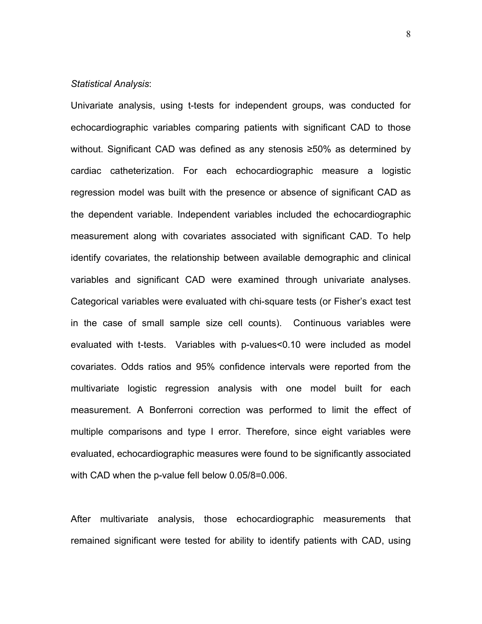### *Statistical Analysis*:

Univariate analysis, using t-tests for independent groups, was conducted for echocardiographic variables comparing patients with significant CAD to those without. Significant CAD was defined as any stenosis ≥50% as determined by cardiac catheterization. For each echocardiographic measure a logistic regression model was built with the presence or absence of significant CAD as the dependent variable. Independent variables included the echocardiographic measurement along with covariates associated with significant CAD. To help identify covariates, the relationship between available demographic and clinical variables and significant CAD were examined through univariate analyses. Categorical variables were evaluated with chi-square tests (or Fisher's exact test in the case of small sample size cell counts). Continuous variables were evaluated with t-tests. Variables with p-values<0.10 were included as model covariates. Odds ratios and 95% confidence intervals were reported from the multivariate logistic regression analysis with one model built for each measurement. A Bonferroni correction was performed to limit the effect of multiple comparisons and type I error. Therefore, since eight variables were evaluated, echocardiographic measures were found to be significantly associated with CAD when the p-value fell below 0.05/8=0.006.

After multivariate analysis, those echocardiographic measurements that remained significant were tested for ability to identify patients with CAD, using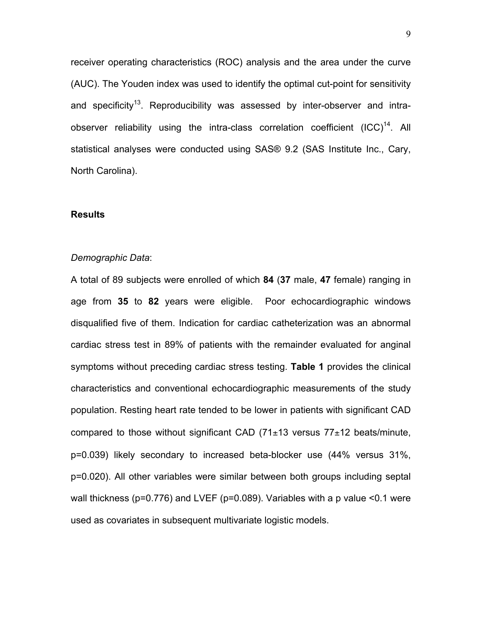receiver operating characteristics (ROC) analysis and the area under the curve (AUC). The Youden index was used to identify the optimal cut-point for sensitivity and specificity<sup>13</sup>. Reproducibility was assessed by inter-observer and intraobserver reliability using the intra-class correlation coefficient  $(ICC)^{14}$ . All statistical analyses were conducted using SAS® 9.2 (SAS Institute Inc., Cary, North Carolina).

#### **Results**

### *Demographic Data*:

A total of 89 subjects were enrolled of which **84** (**37** male, **47** female) ranging in age from **35** to **82** years were eligible. Poor echocardiographic windows disqualified five of them. Indication for cardiac catheterization was an abnormal cardiac stress test in 89% of patients with the remainder evaluated for anginal symptoms without preceding cardiac stress testing. **Table 1** provides the clinical characteristics and conventional echocardiographic measurements of the study population. Resting heart rate tended to be lower in patients with significant CAD compared to those without significant CAD  $(71\pm13$  versus  $77\pm12$  beats/minute, p=0.039) likely secondary to increased beta-blocker use (44% versus 31%, p=0.020). All other variables were similar between both groups including septal wall thickness (p=0.776) and LVEF (p=0.089). Variables with a p value <0.1 were used as covariates in subsequent multivariate logistic models.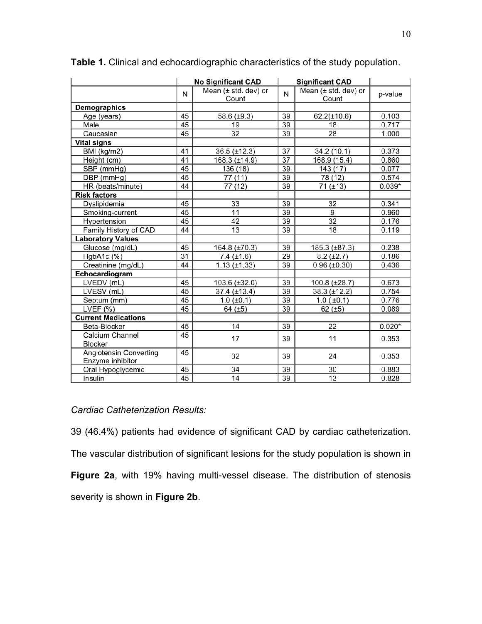|                                            | <b>No Significant CAD</b> |                                              |                 | <b>Significant CAD</b>        |          |
|--------------------------------------------|---------------------------|----------------------------------------------|-----------------|-------------------------------|----------|
|                                            | N                         | Mean (± std. dev) or<br>Count                | N               | Mean (± std. dev) or<br>Count | p-value  |
| Demographics                               |                           |                                              |                 |                               |          |
| Age (years)                                | 45                        | 39<br>58.6 (±9.3)<br>$62.2(\pm 10.6)$        |                 | 0.103                         |          |
| Male                                       | 45                        | 19                                           | 39              | 18                            | 0.717    |
| Caucasian                                  | 45                        | 32                                           | 39              | 28                            | 1.000    |
| <b>Vital signs</b>                         |                           |                                              |                 |                               |          |
| BMI (kg/m2)                                | 41                        | $36.5 (\pm 12.3)$                            | 37              | 34.2 (10.1)                   | 0.373    |
| Height (cm)                                | 41                        | 168.3 (±14.9)                                | $\overline{37}$ | 168.9 (15.4)                  | 0.860    |
| SBP (mmHg)                                 | 45                        | 136 (18)                                     | 39              | 143 (17)                      | 0.077    |
| DBP (mmHg)                                 | 45                        | 77 (11)                                      | 39              | 78 (12)                       | 0.574    |
| HR (beats/minute)                          | 44                        | $\overline{77}$ (12)                         | 39              | 71 (±13)                      | $0.039*$ |
| <b>Risk factors</b>                        |                           |                                              |                 |                               |          |
| Dyslipidemia                               | 45                        | 33                                           | 39              | 32                            | 0.341    |
| Smoking-current                            | 45                        | 11                                           | 39              | 9                             | 0.960    |
| Hypertension                               | 45                        | 42                                           | 39              | $\overline{32}$               | 0.176    |
| Family History of CAD                      | 44                        | 13                                           | 39              | 18                            | 0.119    |
| <b>Laboratory Values</b>                   |                           |                                              |                 |                               |          |
| Glucose (mg/dL)                            | 45                        | 164.8 (±70.3)                                | 39              | 185.3 (±87.3)                 | 0.238    |
| HgbA1c (%)                                 | 31                        | $7.4 (\pm 1.6)$                              | 29              | $8.2 (\pm 2.7)$               | 0.186    |
| Creatinine (mg/dL)                         | 44                        | $1.13 (\pm 1.33)$<br>39<br>$0.96 (\pm 0.30)$ |                 |                               | 0.436    |
| Echocardiogram                             |                           |                                              |                 |                               |          |
| LVEDV (mL)                                 | 45                        | 103.6 (±32.0)                                | 39              | 100.8 (±28.7)                 | 0.673    |
| LVESV (mL)                                 | 45                        | 37.4 (±13.4)                                 | 39              | $38.3 (\pm 12.2)$             | 0.754    |
| Septum (mm)                                | 45                        | $1.0$ ( $\pm 0.1$ )                          | 39              | $1.0$ ( $\pm 0.1$ )           | 0.776    |
| LVEF $(%)$                                 | 45                        | 64 $(±5)$                                    | 39              | 62 $(±5)$                     | 0.089    |
| <b>Current Medications</b>                 |                           |                                              |                 |                               |          |
| Beta-Blocker                               | 45                        | 14                                           | 39              | 22                            | $0.020*$ |
| Calcium Channel<br><b>Blocker</b>          | 45                        | 17                                           | 39              | 11                            | 0.353    |
| Angiotensin Converting<br>Enzyme inhibitor | 45                        | 32                                           | 39              | 24                            | 0.353    |
| Oral Hypoglycemic                          | 45                        | 34                                           | 39              | 30                            | 0.883    |
| Insulin                                    | 45                        | 14                                           | 39              | 13                            | 0.828    |

**Table 1.** Clinical and echocardiographic characteristics of the study population.

# *Cardiac Catheterization Results:*

39 (46.4%) patients had evidence of significant CAD by cardiac catheterization. The vascular distribution of significant lesions for the study population is shown in **Figure 2a**, with 19% having multi-vessel disease. The distribution of stenosis severity is shown in **Figure 2b**.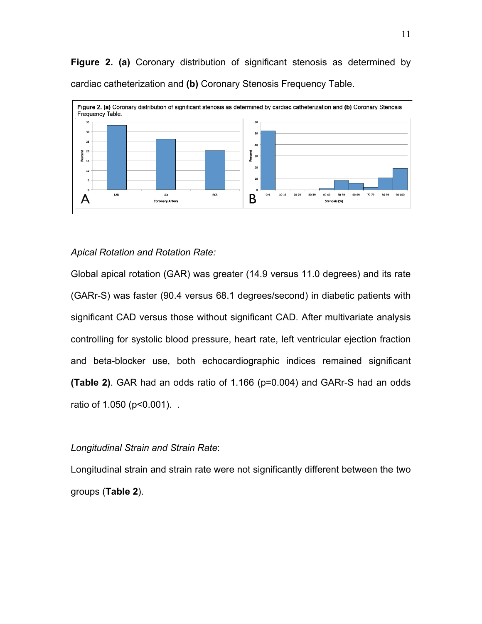**Figure 2. (a)** Coronary distribution of significant stenosis as determined by cardiac catheterization and **(b)** Coronary Stenosis Frequency Table.



### *Apical Rotation and Rotation Rate:*

Global apical rotation (GAR) was greater (14.9 versus 11.0 degrees) and its rate (GARr-S) was faster (90.4 versus 68.1 degrees/second) in diabetic patients with significant CAD versus those without significant CAD. After multivariate analysis controlling for systolic blood pressure, heart rate, left ventricular ejection fraction and beta-blocker use, both echocardiographic indices remained significant **(Table 2)**. GAR had an odds ratio of 1.166 (p=0.004) and GARr-S had an odds ratio of 1.050 (p<0.001). .

### *Longitudinal Strain and Strain Rate*:

Longitudinal strain and strain rate were not significantly different between the two groups (**Table 2**).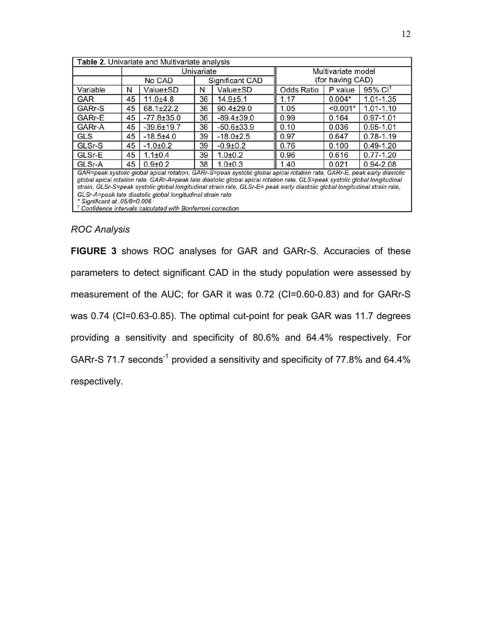| Table 2. Univariate and Multivariate analysis                                                                                                                                                                                                                                                                                                                                        |    |                  |                 |                  |                    |            |                        |  |  |  |
|--------------------------------------------------------------------------------------------------------------------------------------------------------------------------------------------------------------------------------------------------------------------------------------------------------------------------------------------------------------------------------------|----|------------------|-----------------|------------------|--------------------|------------|------------------------|--|--|--|
|                                                                                                                                                                                                                                                                                                                                                                                      |    |                  | Univariate      |                  | Multivariate model |            |                        |  |  |  |
|                                                                                                                                                                                                                                                                                                                                                                                      |    | No CAD           | Significant CAD |                  | (for having CAD)   |            |                        |  |  |  |
| Variable                                                                                                                                                                                                                                                                                                                                                                             | N  | Value±SD         | N               | Value±SD         | <b>Odds Ratio</b>  | P value    | $95\%$ CI <sup>t</sup> |  |  |  |
| <b>GAR</b>                                                                                                                                                                                                                                                                                                                                                                           | 45 | $11.0+4.8$       | 36              | $14.9 + 5.1$     | 1.17               | $0.004*$   | 1.01-1.35              |  |  |  |
| GARr-S                                                                                                                                                                                                                                                                                                                                                                               | 45 | $68.1 \pm 22.2$  | 36              | $90.4 \pm 29.0$  | 1.05               | $< 0.001*$ | $1.01 - 1.10$          |  |  |  |
| GARr-E                                                                                                                                                                                                                                                                                                                                                                               | 45 | $-77.8 \pm 35.0$ | 36              | $-89.4 \pm 39.0$ | 0.99               | 0.164      | $0.97 - 1.01$          |  |  |  |
| GARr-A                                                                                                                                                                                                                                                                                                                                                                               | 45 | $-39.6 \pm 19.7$ | 36              | $-50.6 \pm 33.9$ | 0.10               | 0.036      | $0.95 - 1.01$          |  |  |  |
| <b>GLS</b>                                                                                                                                                                                                                                                                                                                                                                           | 45 | $-18.5+4.0$      | 39              | $-18.0 \pm 2.5$  | 0.97               | 0.647      | $0.78 - 1.19$          |  |  |  |
| GLSr-S                                                                                                                                                                                                                                                                                                                                                                               | 45 | $-1.0+0.2$       | 39              | $-0.9+0.2$       | 0.76               | 0.100      | $0.49 - 1.20$          |  |  |  |
| GLSr-E                                                                                                                                                                                                                                                                                                                                                                               | 45 | $1.1 \pm 0.4$    | 39              | $1.0 + 0.2$      | 0.96               | 0.616      | $0.77 - 1.20$          |  |  |  |
| GLSr-A                                                                                                                                                                                                                                                                                                                                                                               | 45 | $0.9 + 0.2$      | 38              | $1.0 + 0.3$      | 1.40               | 0.021      | $0.94 - 2.08$          |  |  |  |
| GAR=peak systolic global apical rotation, GARr-S=peak systolic global apical rotation rate, GARr-E, peak early diastolic<br>global apical rotation rate, GARr-A=peak late diastolic global apical rotation rate, GLS=peak systolic global longitudinal<br>strain. CLSr-S=neak systolic alobal longitudinal strain rate. CLSr-E= neak early diastolic alobal longitudinal strain rate |    |                  |                 |                  |                    |            |                        |  |  |  |

peak systolic global longitudinal strain rate, GLSr-E= peak early diastolic global longitudinal strain rate, GLSr-A=peak late diastolic global longitudinal strain rate \* Significant at .05/8=0.006

<sup>†</sup> Confidence intervals calculated with Bonferroni correction

### *ROC Analysis*

**FIGURE 3** shows ROC analyses for GAR and GARr-S. Accuracies of these parameters to detect significant CAD in the study population were assessed by measurement of the AUC; for GAR it was 0.72 (CI=0.60-0.83) and for GARr-S was 0.74 (CI=0.63-0.85). The optimal cut-point for peak GAR was 11.7 degrees providing a sensitivity and specificity of 80.6% and 64.4% respectively. For GARr-S 71.7 seconds<sup>-1</sup> provided a sensitivity and specificity of 77.8% and 64.4% respectively.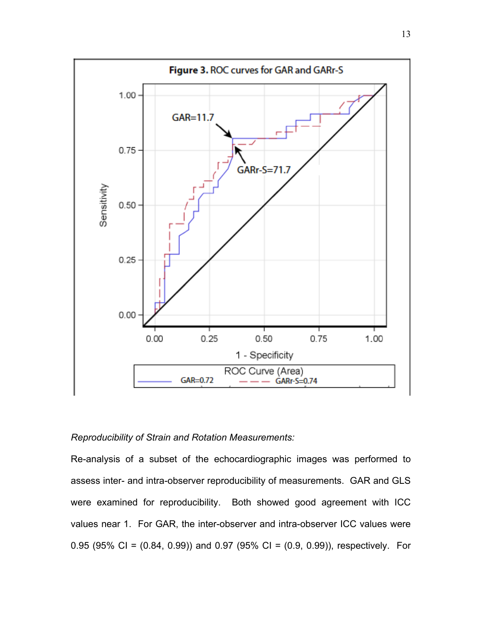

# *Reproducibility of Strain and Rotation Measurements:*

Re-analysis of a subset of the echocardiographic images was performed to assess inter- and intra-observer reproducibility of measurements. GAR and GLS were examined for reproducibility. Both showed good agreement with ICC values near 1. For GAR, the inter-observer and intra-observer ICC values were 0.95 (95% CI =  $(0.84, 0.99)$ ) and 0.97 (95% CI =  $(0.9, 0.99)$ ), respectively. For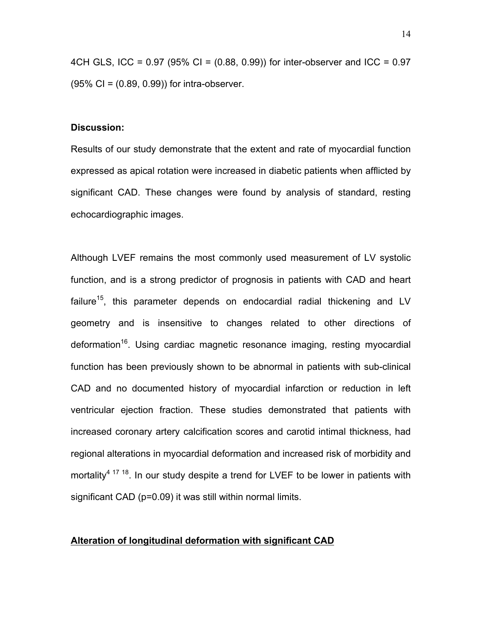4CH GLS, ICC = 0.97 (95% CI = (0.88, 0.99)) for inter-observer and ICC = 0.97 (95% CI = (0.89, 0.99)) for intra-observer.

#### **Discussion:**

Results of our study demonstrate that the extent and rate of myocardial function expressed as apical rotation were increased in diabetic patients when afflicted by significant CAD. These changes were found by analysis of standard, resting echocardiographic images.

Although LVEF remains the most commonly used measurement of LV systolic function, and is a strong predictor of prognosis in patients with CAD and heart failure<sup>15</sup>, this parameter depends on endocardial radial thickening and LV geometry and is insensitive to changes related to other directions of deformation<sup>16</sup>. Using cardiac magnetic resonance imaging, resting myocardial function has been previously shown to be abnormal in patients with sub-clinical CAD and no documented history of myocardial infarction or reduction in left ventricular ejection fraction. These studies demonstrated that patients with increased coronary artery calcification scores and carotid intimal thickness, had regional alterations in myocardial deformation and increased risk of morbidity and mortality<sup>4 17 18</sup>. In our study despite a trend for LVEF to be lower in patients with significant CAD (p=0.09) it was still within normal limits.

### **Alteration of longitudinal deformation with significant CAD**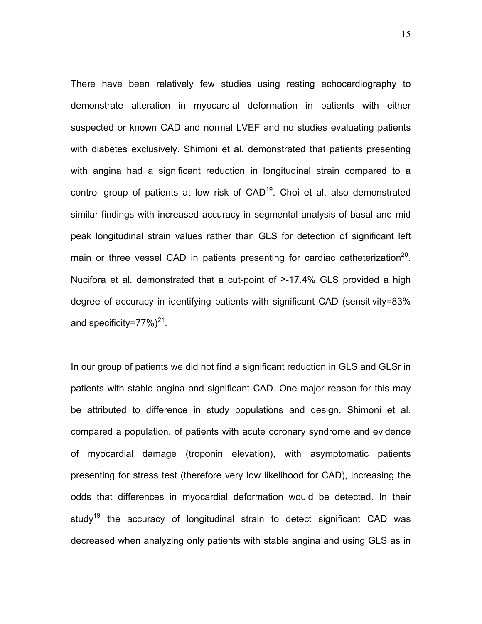There have been relatively few studies using resting echocardiography to demonstrate alteration in myocardial deformation in patients with either suspected or known CAD and normal LVEF and no studies evaluating patients with diabetes exclusively. Shimoni et al. demonstrated that patients presenting with angina had a significant reduction in longitudinal strain compared to a control group of patients at low risk of  $CAD<sup>19</sup>$ . Choi et al. also demonstrated similar findings with increased accuracy in segmental analysis of basal and mid peak longitudinal strain values rather than GLS for detection of significant left main or three vessel CAD in patients presenting for cardiac catheterization<sup>20</sup>. Nucifora et al. demonstrated that a cut-point of ≥-17.4% GLS provided a high degree of accuracy in identifying patients with significant CAD (sensitivity=83% and specificity=77%) $^{21}$ .

In our group of patients we did not find a significant reduction in GLS and GLSr in patients with stable angina and significant CAD. One major reason for this may be attributed to difference in study populations and design. Shimoni et al. compared a population, of patients with acute coronary syndrome and evidence of myocardial damage (troponin elevation), with asymptomatic patients presenting for stress test (therefore very low likelihood for CAD), increasing the odds that differences in myocardial deformation would be detected. In their study<sup>19</sup> the accuracy of longitudinal strain to detect significant CAD was decreased when analyzing only patients with stable angina and using GLS as in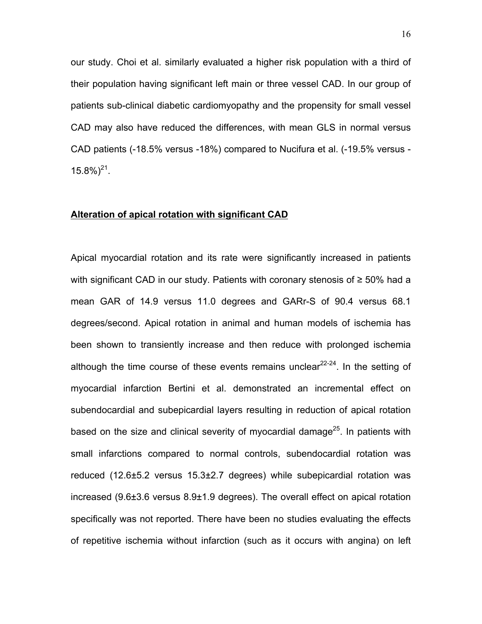our study. Choi et al. similarly evaluated a higher risk population with a third of their population having significant left main or three vessel CAD. In our group of patients sub-clinical diabetic cardiomyopathy and the propensity for small vessel CAD may also have reduced the differences, with mean GLS in normal versus CAD patients (-18.5% versus -18%) compared to Nucifura et al. (-19.5% versus -  $15.8\%$ <sup>21</sup>.

### **Alteration of apical rotation with significant CAD**

Apical myocardial rotation and its rate were significantly increased in patients with significant CAD in our study. Patients with coronary stenosis of ≥ 50% had a mean GAR of 14.9 versus 11.0 degrees and GARr-S of 90.4 versus 68.1 degrees/second. Apical rotation in animal and human models of ischemia has been shown to transiently increase and then reduce with prolonged ischemia although the time course of these events remains unclear $22-24$ . In the setting of myocardial infarction Bertini et al. demonstrated an incremental effect on subendocardial and subepicardial layers resulting in reduction of apical rotation based on the size and clinical severity of myocardial damage<sup>25</sup>. In patients with small infarctions compared to normal controls, subendocardial rotation was reduced (12.6±5.2 versus 15.3±2.7 degrees) while subepicardial rotation was increased (9.6±3.6 versus 8.9±1.9 degrees). The overall effect on apical rotation specifically was not reported. There have been no studies evaluating the effects of repetitive ischemia without infarction (such as it occurs with angina) on left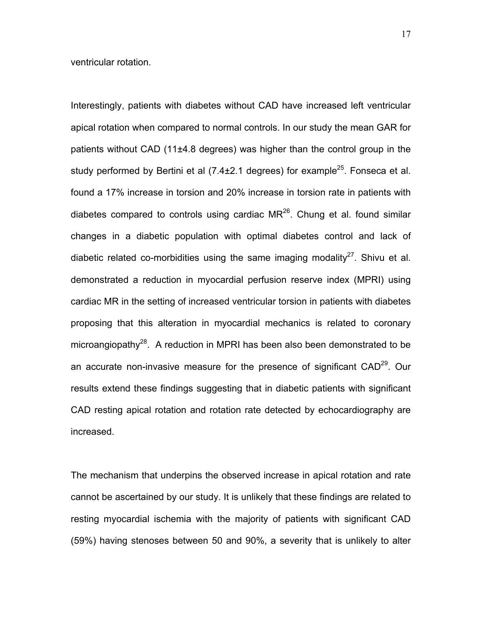ventricular rotation.

Interestingly, patients with diabetes without CAD have increased left ventricular apical rotation when compared to normal controls. In our study the mean GAR for patients without CAD (11±4.8 degrees) was higher than the control group in the study performed by Bertini et al  $(7.4\pm2.1$  degrees) for example<sup>25</sup>. Fonseca et al. found a 17% increase in torsion and 20% increase in torsion rate in patients with diabetes compared to controls using cardiac  $MR^{26}$ . Chung et al. found similar changes in a diabetic population with optimal diabetes control and lack of diabetic related co-morbidities using the same imaging modality<sup>27</sup>. Shivu et al. demonstrated a reduction in myocardial perfusion reserve index (MPRI) using cardiac MR in the setting of increased ventricular torsion in patients with diabetes proposing that this alteration in myocardial mechanics is related to coronary microangiopathy<sup>28</sup>. A reduction in MPRI has been also been demonstrated to be an accurate non-invasive measure for the presence of significant CAD<sup>29</sup>. Our results extend these findings suggesting that in diabetic patients with significant CAD resting apical rotation and rotation rate detected by echocardiography are increased.

The mechanism that underpins the observed increase in apical rotation and rate cannot be ascertained by our study. It is unlikely that these findings are related to resting myocardial ischemia with the majority of patients with significant CAD (59%) having stenoses between 50 and 90%, a severity that is unlikely to alter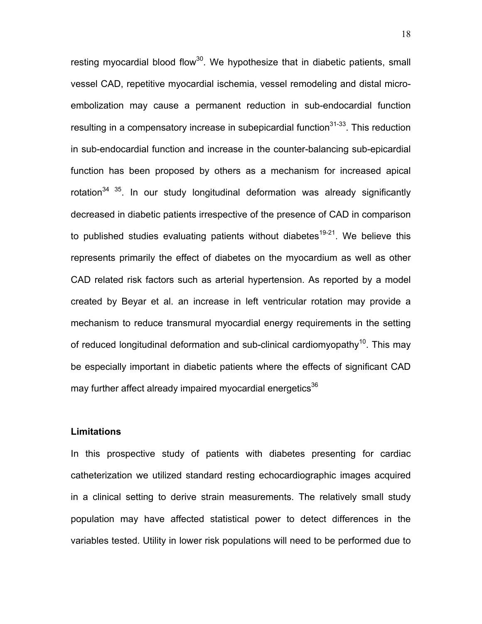resting myocardial blood flow $30$ . We hypothesize that in diabetic patients, small vessel CAD, repetitive myocardial ischemia, vessel remodeling and distal microembolization may cause a permanent reduction in sub-endocardial function resulting in a compensatory increase in subepicardial function $31-33$ . This reduction in sub-endocardial function and increase in the counter-balancing sub-epicardial function has been proposed by others as a mechanism for increased apical rotation<sup>34 35</sup>. In our study longitudinal deformation was already significantly decreased in diabetic patients irrespective of the presence of CAD in comparison to published studies evaluating patients without diabetes<sup>19-21</sup>. We believe this represents primarily the effect of diabetes on the myocardium as well as other CAD related risk factors such as arterial hypertension. As reported by a model created by Beyar et al. an increase in left ventricular rotation may provide a mechanism to reduce transmural myocardial energy requirements in the setting of reduced longitudinal deformation and sub-clinical cardiomyopathy<sup>10</sup>. This may be especially important in diabetic patients where the effects of significant CAD may further affect already impaired myocardial energetics<sup>36</sup>

#### **Limitations**

In this prospective study of patients with diabetes presenting for cardiac catheterization we utilized standard resting echocardiographic images acquired in a clinical setting to derive strain measurements. The relatively small study population may have affected statistical power to detect differences in the variables tested. Utility in lower risk populations will need to be performed due to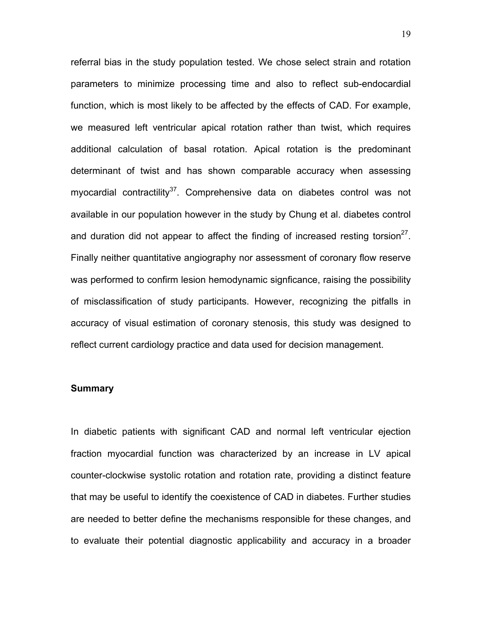referral bias in the study population tested. We chose select strain and rotation parameters to minimize processing time and also to reflect sub-endocardial function, which is most likely to be affected by the effects of CAD. For example, we measured left ventricular apical rotation rather than twist, which requires additional calculation of basal rotation. Apical rotation is the predominant determinant of twist and has shown comparable accuracy when assessing myocardial contractility<sup>37</sup>. Comprehensive data on diabetes control was not available in our population however in the study by Chung et al. diabetes control and duration did not appear to affect the finding of increased resting torsion<sup>27</sup>. Finally neither quantitative angiography nor assessment of coronary flow reserve was performed to confirm lesion hemodynamic signficance, raising the possibility of misclassification of study participants. However, recognizing the pitfalls in accuracy of visual estimation of coronary stenosis, this study was designed to reflect current cardiology practice and data used for decision management.

#### **Summary**

In diabetic patients with significant CAD and normal left ventricular ejection fraction myocardial function was characterized by an increase in LV apical counter-clockwise systolic rotation and rotation rate, providing a distinct feature that may be useful to identify the coexistence of CAD in diabetes. Further studies are needed to better define the mechanisms responsible for these changes, and to evaluate their potential diagnostic applicability and accuracy in a broader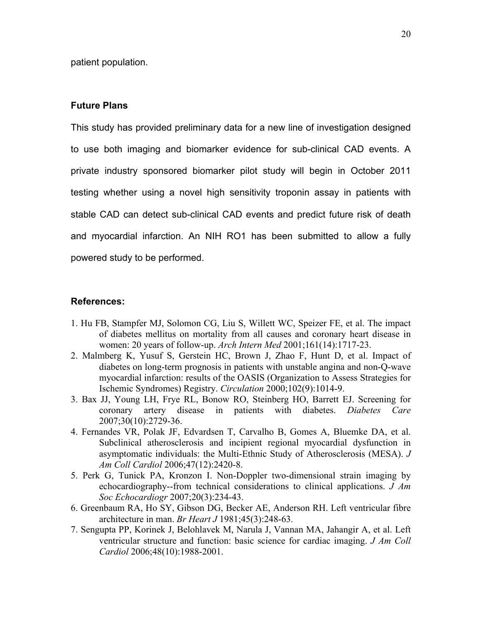patient population.

### **Future Plans**

This study has provided preliminary data for a new line of investigation designed to use both imaging and biomarker evidence for sub-clinical CAD events. A private industry sponsored biomarker pilot study will begin in October 2011 testing whether using a novel high sensitivity troponin assay in patients with stable CAD can detect sub-clinical CAD events and predict future risk of death and myocardial infarction. An NIH RO1 has been submitted to allow a fully powered study to be performed.

### **References:**

- 1. Hu FB, Stampfer MJ, Solomon CG, Liu S, Willett WC, Speizer FE, et al. The impact of diabetes mellitus on mortality from all causes and coronary heart disease in women: 20 years of follow-up. *Arch Intern Med* 2001;161(14):1717-23.
- 2. Malmberg K, Yusuf S, Gerstein HC, Brown J, Zhao F, Hunt D, et al. Impact of diabetes on long-term prognosis in patients with unstable angina and non-Q-wave myocardial infarction: results of the OASIS (Organization to Assess Strategies for Ischemic Syndromes) Registry. *Circulation* 2000;102(9):1014-9.
- 3. Bax JJ, Young LH, Frye RL, Bonow RO, Steinberg HO, Barrett EJ. Screening for coronary artery disease in patients with diabetes. *Diabetes Care* 2007;30(10):2729-36.
- 4. Fernandes VR, Polak JF, Edvardsen T, Carvalho B, Gomes A, Bluemke DA, et al. Subclinical atherosclerosis and incipient regional myocardial dysfunction in asymptomatic individuals: the Multi-Ethnic Study of Atherosclerosis (MESA). *J Am Coll Cardiol* 2006;47(12):2420-8.
- 5. Perk G, Tunick PA, Kronzon I. Non-Doppler two-dimensional strain imaging by echocardiography--from technical considerations to clinical applications. *J Am Soc Echocardiogr* 2007;20(3):234-43.
- 6. Greenbaum RA, Ho SY, Gibson DG, Becker AE, Anderson RH. Left ventricular fibre architecture in man. *Br Heart J* 1981;45(3):248-63.
- 7. Sengupta PP, Korinek J, Belohlavek M, Narula J, Vannan MA, Jahangir A, et al. Left ventricular structure and function: basic science for cardiac imaging. *J Am Coll Cardiol* 2006;48(10):1988-2001.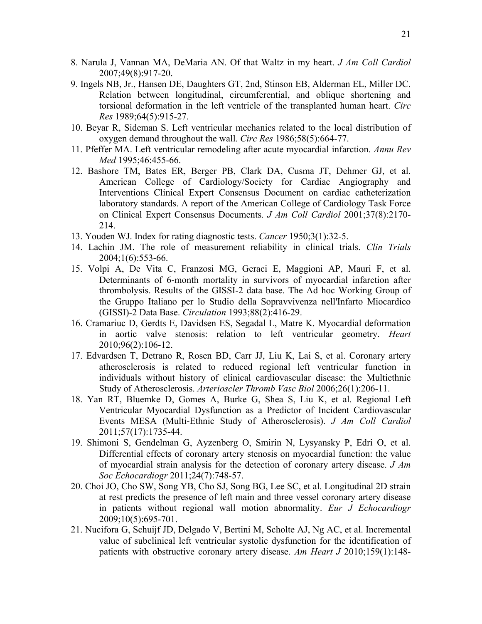- 8. Narula J, Vannan MA, DeMaria AN. Of that Waltz in my heart. *J Am Coll Cardiol* 2007;49(8):917-20.
- 9. Ingels NB, Jr., Hansen DE, Daughters GT, 2nd, Stinson EB, Alderman EL, Miller DC. Relation between longitudinal, circumferential, and oblique shortening and torsional deformation in the left ventricle of the transplanted human heart. *Circ Res* 1989;64(5):915-27.
- 10. Beyar R, Sideman S. Left ventricular mechanics related to the local distribution of oxygen demand throughout the wall. *Circ Res* 1986;58(5):664-77.
- 11. Pfeffer MA. Left ventricular remodeling after acute myocardial infarction. *Annu Rev Med* 1995;46:455-66.
- 12. Bashore TM, Bates ER, Berger PB, Clark DA, Cusma JT, Dehmer GJ, et al. American College of Cardiology/Society for Cardiac Angiography and Interventions Clinical Expert Consensus Document on cardiac catheterization laboratory standards. A report of the American College of Cardiology Task Force on Clinical Expert Consensus Documents. *J Am Coll Cardiol* 2001;37(8):2170- 214.
- 13. Youden WJ. Index for rating diagnostic tests. *Cancer* 1950;3(1):32-5.
- 14. Lachin JM. The role of measurement reliability in clinical trials. *Clin Trials* 2004;1(6):553-66.
- 15. Volpi A, De Vita C, Franzosi MG, Geraci E, Maggioni AP, Mauri F, et al. Determinants of 6-month mortality in survivors of myocardial infarction after thrombolysis. Results of the GISSI-2 data base. The Ad hoc Working Group of the Gruppo Italiano per lo Studio della Sopravvivenza nell'Infarto Miocardico (GISSI)-2 Data Base. *Circulation* 1993;88(2):416-29.
- 16. Cramariuc D, Gerdts E, Davidsen ES, Segadal L, Matre K. Myocardial deformation in aortic valve stenosis: relation to left ventricular geometry. *Heart* 2010;96(2):106-12.
- 17. Edvardsen T, Detrano R, Rosen BD, Carr JJ, Liu K, Lai S, et al. Coronary artery atherosclerosis is related to reduced regional left ventricular function in individuals without history of clinical cardiovascular disease: the Multiethnic Study of Atherosclerosis. *Arterioscler Thromb Vasc Biol* 2006;26(1):206-11.
- 18. Yan RT, Bluemke D, Gomes A, Burke G, Shea S, Liu K, et al. Regional Left Ventricular Myocardial Dysfunction as a Predictor of Incident Cardiovascular Events MESA (Multi-Ethnic Study of Atherosclerosis). *J Am Coll Cardiol* 2011;57(17):1735-44.
- 19. Shimoni S, Gendelman G, Ayzenberg O, Smirin N, Lysyansky P, Edri O, et al. Differential effects of coronary artery stenosis on myocardial function: the value of myocardial strain analysis for the detection of coronary artery disease. *J Am Soc Echocardiogr* 2011;24(7):748-57.
- 20. Choi JO, Cho SW, Song YB, Cho SJ, Song BG, Lee SC, et al. Longitudinal 2D strain at rest predicts the presence of left main and three vessel coronary artery disease in patients without regional wall motion abnormality. *Eur J Echocardiogr* 2009;10(5):695-701.
- 21. Nucifora G, Schuijf JD, Delgado V, Bertini M, Scholte AJ, Ng AC, et al. Incremental value of subclinical left ventricular systolic dysfunction for the identification of patients with obstructive coronary artery disease. *Am Heart J* 2010;159(1):148-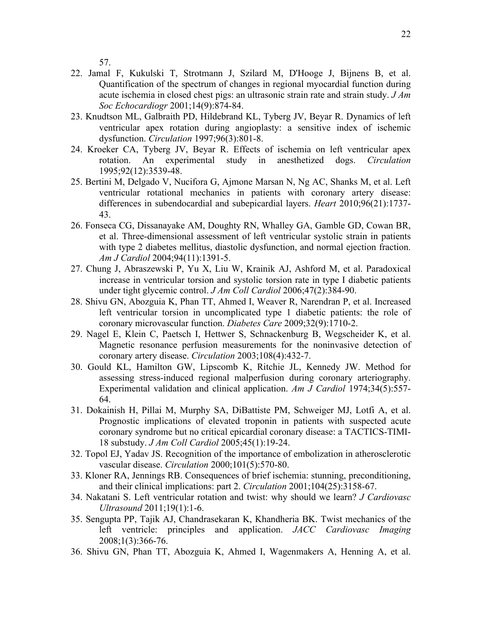57.

- 22. Jamal F, Kukulski T, Strotmann J, Szilard M, D'Hooge J, Bijnens B, et al. Quantification of the spectrum of changes in regional myocardial function during acute ischemia in closed chest pigs: an ultrasonic strain rate and strain study. *J Am Soc Echocardiogr* 2001;14(9):874-84.
- 23. Knudtson ML, Galbraith PD, Hildebrand KL, Tyberg JV, Beyar R. Dynamics of left ventricular apex rotation during angioplasty: a sensitive index of ischemic dysfunction. *Circulation* 1997;96(3):801-8.
- 24. Kroeker CA, Tyberg JV, Beyar R. Effects of ischemia on left ventricular apex rotation. An experimental study in anesthetized dogs. *Circulation* 1995;92(12):3539-48.
- 25. Bertini M, Delgado V, Nucifora G, Ajmone Marsan N, Ng AC, Shanks M, et al. Left ventricular rotational mechanics in patients with coronary artery disease: differences in subendocardial and subepicardial layers. *Heart* 2010;96(21):1737- 43.
- 26. Fonseca CG, Dissanayake AM, Doughty RN, Whalley GA, Gamble GD, Cowan BR, et al. Three-dimensional assessment of left ventricular systolic strain in patients with type 2 diabetes mellitus, diastolic dysfunction, and normal ejection fraction. *Am J Cardiol* 2004;94(11):1391-5.
- 27. Chung J, Abraszewski P, Yu X, Liu W, Krainik AJ, Ashford M, et al. Paradoxical increase in ventricular torsion and systolic torsion rate in type I diabetic patients under tight glycemic control. *J Am Coll Cardiol* 2006;47(2):384-90.
- 28. Shivu GN, Abozguia K, Phan TT, Ahmed I, Weaver R, Narendran P, et al. Increased left ventricular torsion in uncomplicated type 1 diabetic patients: the role of coronary microvascular function. *Diabetes Care* 2009;32(9):1710-2.
- 29. Nagel E, Klein C, Paetsch I, Hettwer S, Schnackenburg B, Wegscheider K, et al. Magnetic resonance perfusion measurements for the noninvasive detection of coronary artery disease. *Circulation* 2003;108(4):432-7.
- 30. Gould KL, Hamilton GW, Lipscomb K, Ritchie JL, Kennedy JW. Method for assessing stress-induced regional malperfusion during coronary arteriography. Experimental validation and clinical application. *Am J Cardiol* 1974;34(5):557- 64.
- 31. Dokainish H, Pillai M, Murphy SA, DiBattiste PM, Schweiger MJ, Lotfi A, et al. Prognostic implications of elevated troponin in patients with suspected acute coronary syndrome but no critical epicardial coronary disease: a TACTICS-TIMI-18 substudy. *J Am Coll Cardiol* 2005;45(1):19-24.
- 32. Topol EJ, Yadav JS. Recognition of the importance of embolization in atherosclerotic vascular disease. *Circulation* 2000;101(5):570-80.
- 33. Kloner RA, Jennings RB. Consequences of brief ischemia: stunning, preconditioning, and their clinical implications: part 2. *Circulation* 2001;104(25):3158-67.
- 34. Nakatani S. Left ventricular rotation and twist: why should we learn? *J Cardiovasc Ultrasound* 2011;19(1):1-6.
- 35. Sengupta PP, Tajik AJ, Chandrasekaran K, Khandheria BK. Twist mechanics of the left ventricle: principles and application. *JACC Cardiovasc Imaging* 2008;1(3):366-76.
- 36. Shivu GN, Phan TT, Abozguia K, Ahmed I, Wagenmakers A, Henning A, et al.